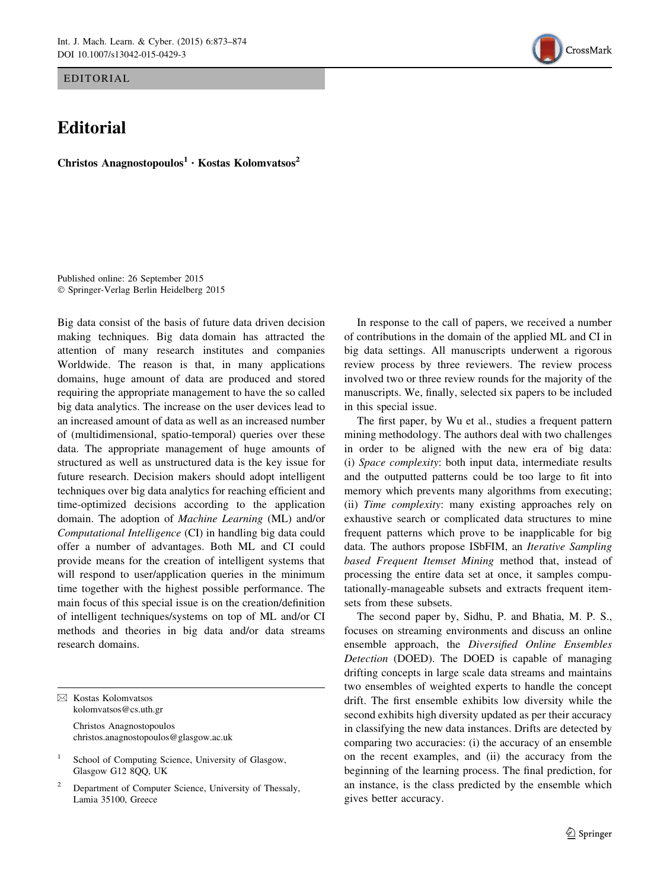EDITORIAL

## Editorial

Christos Anagnostopoulos<sup>1</sup> • Kostas Kolomvatsos<sup>2</sup>

Published online: 26 September 2015 - Springer-Verlag Berlin Heidelberg 2015

Big data consist of the basis of future data driven decision making techniques. Big data domain has attracted the attention of many research institutes and companies Worldwide. The reason is that, in many applications domains, huge amount of data are produced and stored requiring the appropriate management to have the so called big data analytics. The increase on the user devices lead to an increased amount of data as well as an increased number of (multidimensional, spatio-temporal) queries over these data. The appropriate management of huge amounts of structured as well as unstructured data is the key issue for future research. Decision makers should adopt intelligent techniques over big data analytics for reaching efficient and time-optimized decisions according to the application domain. The adoption of Machine Learning (ML) and/or Computational Intelligence (CI) in handling big data could offer a number of advantages. Both ML and CI could provide means for the creation of intelligent systems that will respond to user/application queries in the minimum time together with the highest possible performance. The main focus of this special issue is on the creation/definition of intelligent techniques/systems on top of ML and/or CI methods and theories in big data and/or data streams research domains.

christos.anagnostopoulos@glasgow.ac.uk



The first paper, by Wu et al., studies a frequent pattern mining methodology. The authors deal with two challenges in order to be aligned with the new era of big data: (i) Space complexity: both input data, intermediate results and the outputted patterns could be too large to fit into memory which prevents many algorithms from executing; (ii) Time complexity: many existing approaches rely on exhaustive search or complicated data structures to mine frequent patterns which prove to be inapplicable for big data. The authors propose ISbFIM, an Iterative Sampling based Frequent Itemset Mining method that, instead of processing the entire data set at once, it samples computationally-manageable subsets and extracts frequent itemsets from these subsets.

The second paper by, Sidhu, P. and Bhatia, M. P. S., focuses on streaming environments and discuss an online ensemble approach, the Diversified Online Ensembles Detection (DOED). The DOED is capable of managing drifting concepts in large scale data streams and maintains two ensembles of weighted experts to handle the concept drift. The first ensemble exhibits low diversity while the second exhibits high diversity updated as per their accuracy in classifying the new data instances. Drifts are detected by comparing two accuracies: (i) the accuracy of an ensemble on the recent examples, and (ii) the accuracy from the beginning of the learning process. The final prediction, for an instance, is the class predicted by the ensemble which gives better accuracy.



<sup>&</sup>amp; Kostas Kolomvatsos kolomvatsos@cs.uth.gr Christos Anagnostopoulos

School of Computing Science, University of Glasgow, Glasgow G12 8QQ, UK

<sup>2</sup> Department of Computer Science, University of Thessaly, Lamia 35100, Greece